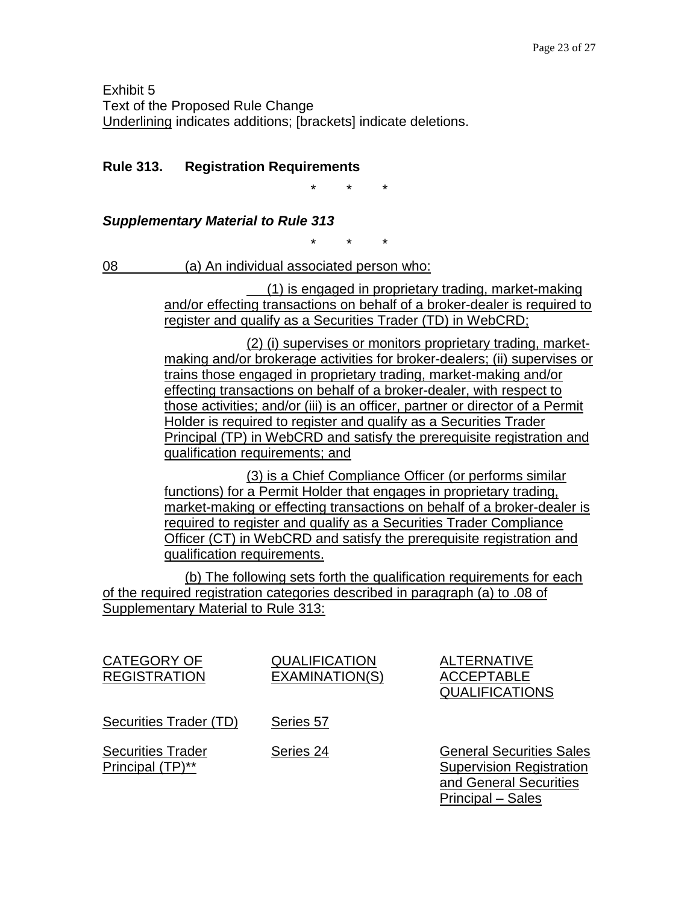Exhibit 5 Text of the Proposed Rule Change Underlining indicates additions; [brackets] indicate deletions.

# **Rule 313. Registration Requirements**

\* \* \*

## *Supplementary Material to Rule 313*

\* \* \*

08 (a) An individual associated person who:

(1) is engaged in proprietary trading, market-making and/or effecting transactions on behalf of a broker-dealer is required to register and qualify as a Securities Trader (TD) in WebCRD;

(2) (i) supervises or monitors proprietary trading, marketmaking and/or brokerage activities for broker-dealers; (ii) supervises or trains those engaged in proprietary trading, market-making and/or effecting transactions on behalf of a broker-dealer, with respect to those activities; and/or (iii) is an officer, partner or director of a Permit Holder is required to register and qualify as a Securities Trader Principal (TP) in WebCRD and satisfy the prerequisite registration and qualification requirements; and

(3) is a Chief Compliance Officer (or performs similar functions) for a Permit Holder that engages in proprietary trading, market-making or effecting transactions on behalf of a broker-dealer is required to register and qualify as a Securities Trader Compliance Officer (CT) in WebCRD and satisfy the prerequisite registration and qualification requirements.

(b) The following sets forth the qualification requirements for each of the required registration categories described in paragraph (a) to .08 of Supplementary Material to Rule 313:

| <b>CATEGORY OF</b><br><b>REGISTRATION</b>    | <b>QUALIFICATION</b><br>EXAMINATION(S) | <b>ALTERNATIVE</b><br><b>ACCEPTABLE</b><br><b>QUALIFICATIONS</b>                                                  |
|----------------------------------------------|----------------------------------------|-------------------------------------------------------------------------------------------------------------------|
| Securities Trader (TD)                       | Series 57                              |                                                                                                                   |
| <b>Securities Trader</b><br>Principal (TP)** | Series 24                              | <b>General Securities Sales</b><br><b>Supervision Registration</b><br>and General Securities<br>Principal - Sales |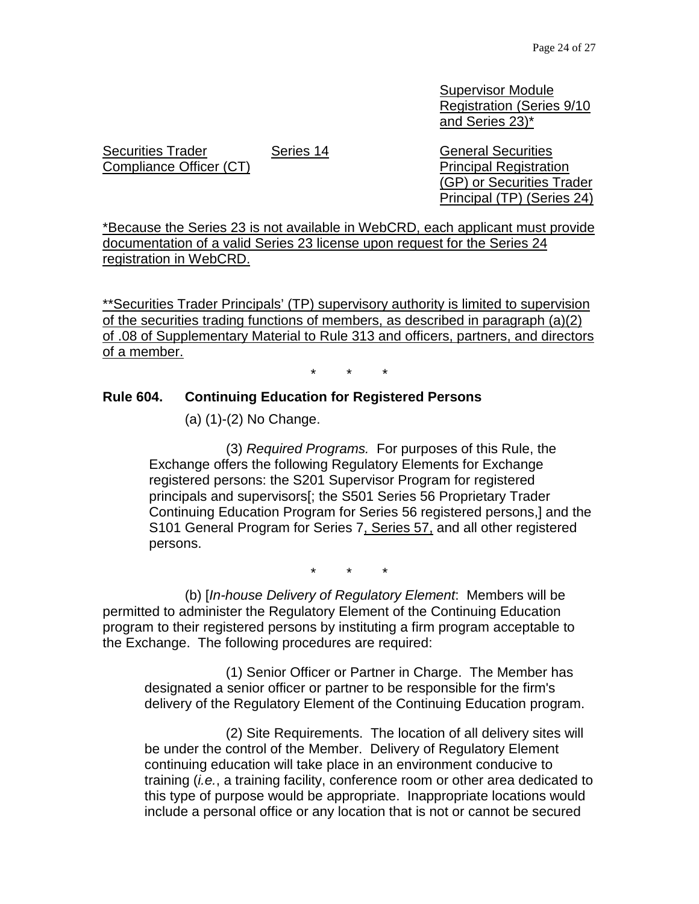Supervisor Module Registration (Series 9/10 and Series 23)\*

Securities Trader Compliance Officer (CT)

Series 14 General Securities Principal Registration (GP) or Securities Trader Principal (TP) (Series 24)

\*Because the Series 23 is not available in WebCRD, each applicant must provide documentation of a valid Series 23 license upon request for the Series 24 registration in WebCRD.

\*\*Securities Trader Principals' (TP) supervisory authority is limited to supervision of the securities trading functions of members, as described in paragraph (a)(2) of .08 of Supplementary Material to Rule 313 and officers, partners, and directors of a member.

\* \* \*

### **Rule 604. Continuing Education for Registered Persons**

(a) (1)-(2) No Change.

(3) *Required Programs.* For purposes of this Rule, the Exchange offers the following Regulatory Elements for Exchange registered persons: the S201 Supervisor Program for registered principals and supervisors[; the S501 Series 56 Proprietary Trader Continuing Education Program for Series 56 registered persons,] and the S101 General Program for Series 7, Series 57, and all other registered persons.

\* \* \*

(b) [*In-house Delivery of Regulatory Element*: Members will be permitted to administer the Regulatory Element of the Continuing Education program to their registered persons by instituting a firm program acceptable to the Exchange. The following procedures are required:

(1) Senior Officer or Partner in Charge. The Member has designated a senior officer or partner to be responsible for the firm's delivery of the Regulatory Element of the Continuing Education program.

(2) Site Requirements. The location of all delivery sites will be under the control of the Member. Delivery of Regulatory Element continuing education will take place in an environment conducive to training (*i.e.*, a training facility, conference room or other area dedicated to this type of purpose would be appropriate. Inappropriate locations would include a personal office or any location that is not or cannot be secured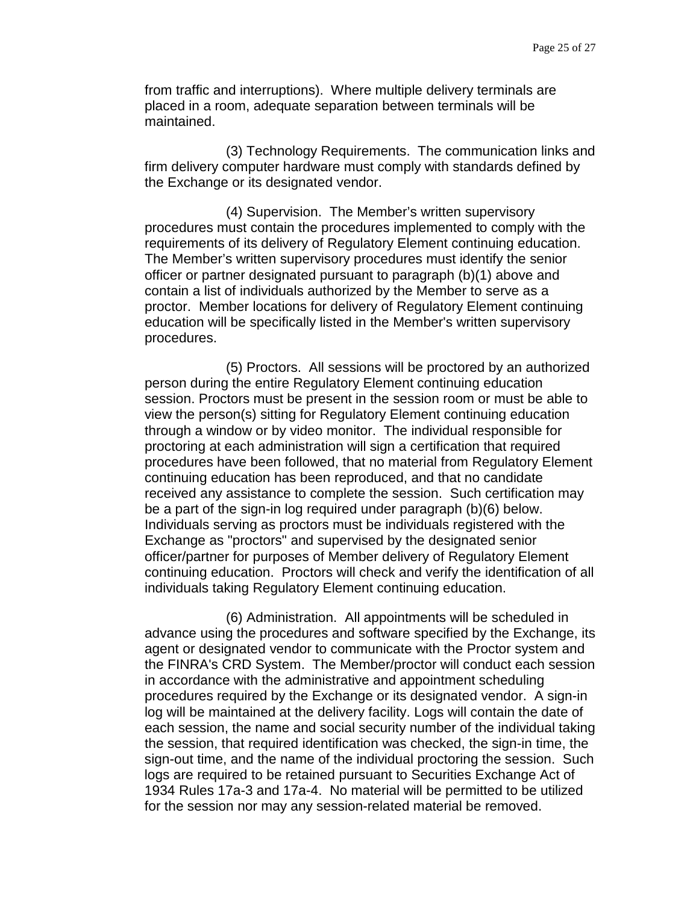from traffic and interruptions). Where multiple delivery terminals are placed in a room, adequate separation between terminals will be maintained.

(3) Technology Requirements. The communication links and firm delivery computer hardware must comply with standards defined by the Exchange or its designated vendor.

(4) Supervision. The Member's written supervisory procedures must contain the procedures implemented to comply with the requirements of its delivery of Regulatory Element continuing education. The Member's written supervisory procedures must identify the senior officer or partner designated pursuant to paragraph (b)(1) above and contain a list of individuals authorized by the Member to serve as a proctor. Member locations for delivery of Regulatory Element continuing education will be specifically listed in the Member's written supervisory procedures.

(5) Proctors. All sessions will be proctored by an authorized person during the entire Regulatory Element continuing education session. Proctors must be present in the session room or must be able to view the person(s) sitting for Regulatory Element continuing education through a window or by video monitor. The individual responsible for proctoring at each administration will sign a certification that required procedures have been followed, that no material from Regulatory Element continuing education has been reproduced, and that no candidate received any assistance to complete the session. Such certification may be a part of the sign-in log required under paragraph (b)(6) below. Individuals serving as proctors must be individuals registered with the Exchange as "proctors" and supervised by the designated senior officer/partner for purposes of Member delivery of Regulatory Element continuing education. Proctors will check and verify the identification of all individuals taking Regulatory Element continuing education.

(6) Administration. All appointments will be scheduled in advance using the procedures and software specified by the Exchange, its agent or designated vendor to communicate with the Proctor system and the FINRA's CRD System. The Member/proctor will conduct each session in accordance with the administrative and appointment scheduling procedures required by the Exchange or its designated vendor. A sign-in log will be maintained at the delivery facility. Logs will contain the date of each session, the name and social security number of the individual taking the session, that required identification was checked, the sign-in time, the sign-out time, and the name of the individual proctoring the session. Such logs are required to be retained pursuant to Securities Exchange Act of 1934 Rules 17a-3 and 17a-4. No material will be permitted to be utilized for the session nor may any session-related material be removed.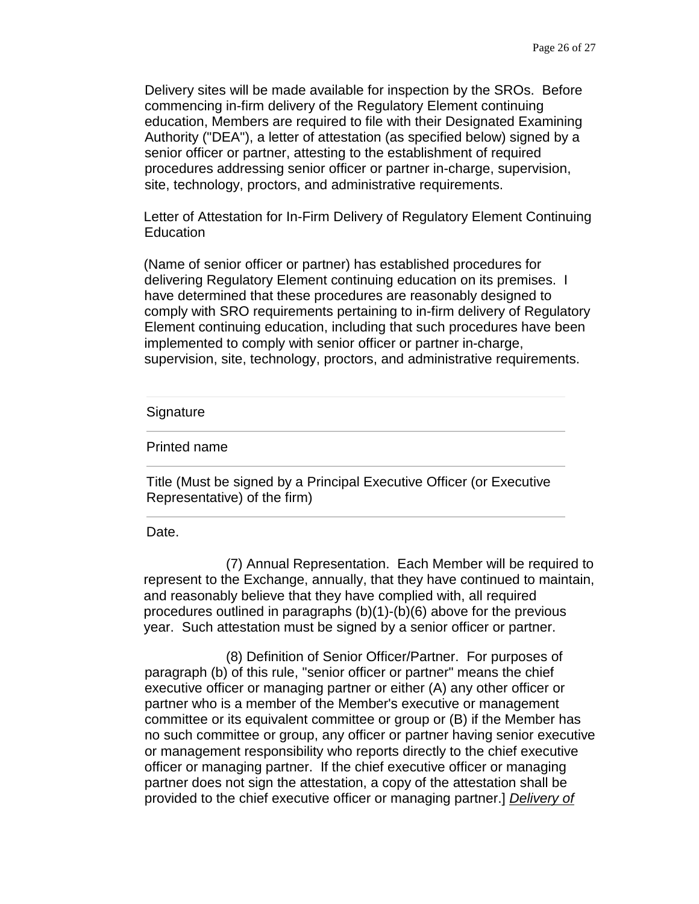Delivery sites will be made available for inspection by the SROs. Before commencing in-firm delivery of the Regulatory Element continuing education, Members are required to file with their Designated Examining Authority ("DEA"), a letter of attestation (as specified below) signed by a senior officer or partner, attesting to the establishment of required procedures addressing senior officer or partner in-charge, supervision, site, technology, proctors, and administrative requirements.

Letter of Attestation for In-Firm Delivery of Regulatory Element Continuing Education

(Name of senior officer or partner) has established procedures for delivering Regulatory Element continuing education on its premises. I have determined that these procedures are reasonably designed to comply with SRO requirements pertaining to in-firm delivery of Regulatory Element continuing education, including that such procedures have been implemented to comply with senior officer or partner in-charge, supervision, site, technology, proctors, and administrative requirements.

#### Signature

Printed name

Title (Must be signed by a Principal Executive Officer (or Executive Representative) of the firm)

Date.

(7) Annual Representation. Each Member will be required to represent to the Exchange, annually, that they have continued to maintain, and reasonably believe that they have complied with, all required procedures outlined in paragraphs (b)(1)-(b)(6) above for the previous year. Such attestation must be signed by a senior officer or partner.

(8) Definition of Senior Officer/Partner. For purposes of paragraph (b) of this rule, "senior officer or partner" means the chief executive officer or managing partner or either (A) any other officer or partner who is a member of the Member's executive or management committee or its equivalent committee or group or (B) if the Member has no such committee or group, any officer or partner having senior executive or management responsibility who reports directly to the chief executive officer or managing partner. If the chief executive officer or managing partner does not sign the attestation, a copy of the attestation shall be provided to the chief executive officer or managing partner.] *Delivery of*